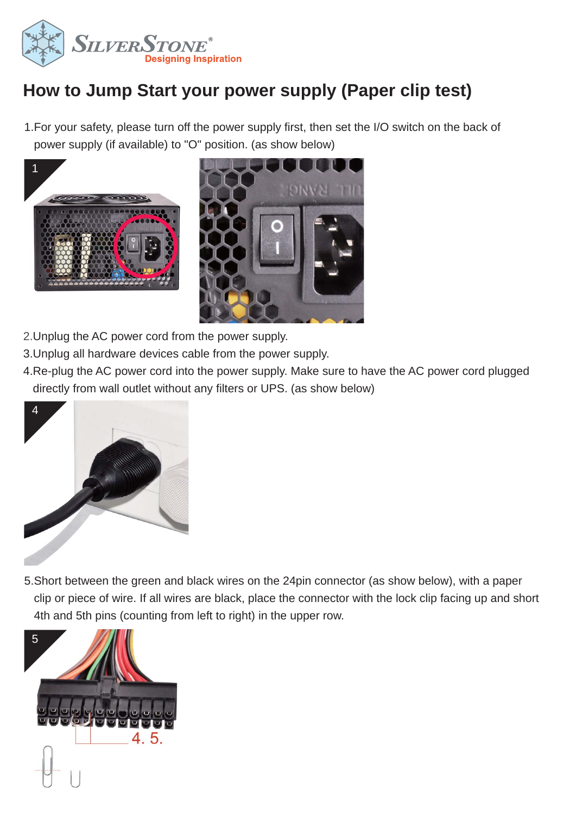

## **How to Jump Start your power supply (Paper clip test)**

1.For your safety, please turn off the power supply first, then set the I/O switch on the back of power supply (if available) to "O" position. (as show below)





- 2.Unplug the AC power cord from the power supply.
- 3.Unplug all hardware devices cable from the power supply.
- 4.Re-plug the AC power cord into the power supply. Make sure to have the AC power cord plugged directly from wall outlet without any filters or UPS. (as show below)



5.Short between the green and black wires on the 24pin connector (as show below), with a paper clip or piece of wire. If all wires are black, place the connector with the lock clip facing up and short 4th and 5th pins (counting from left to right) in the upper row.